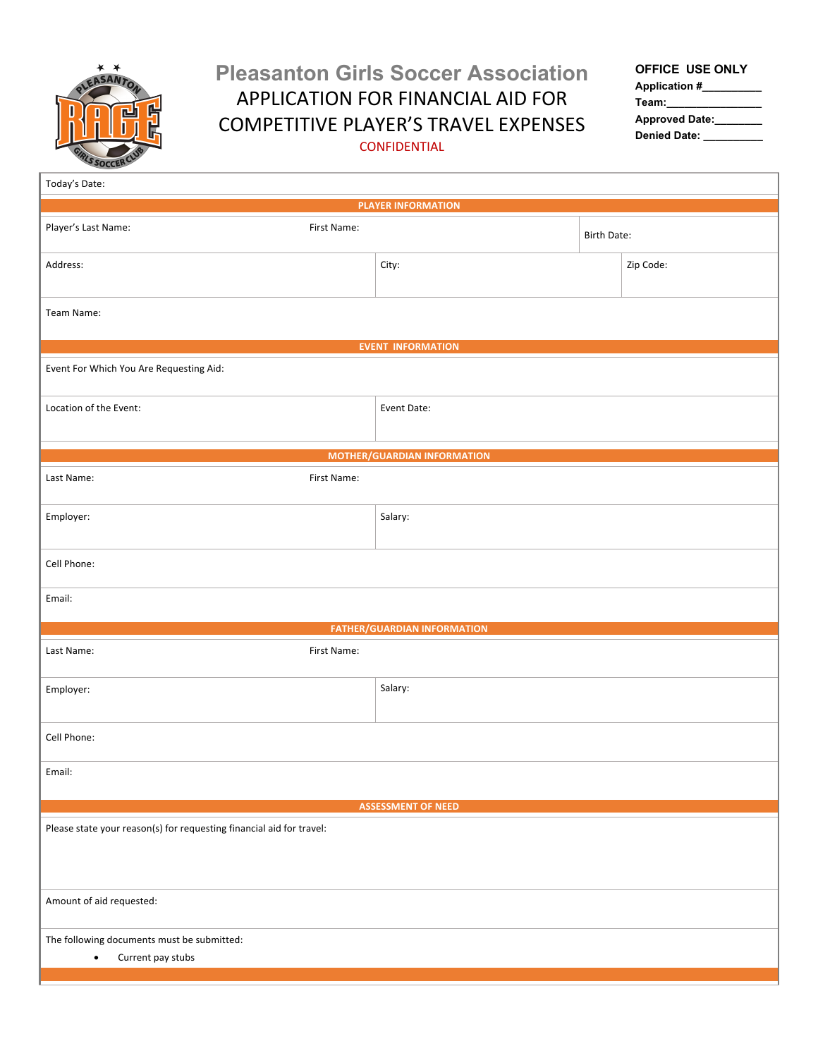

## **Pleasanton Girls Soccer Association** APPLICATION FOR FINANCIAL AID FOR COMPETITIVE PLAYER'S TRAVEL EXPENSES CONFIDENTIAL

## **OFFICE USE ONLY**

**Application #\_\_\_\_\_\_\_\_\_\_ Team:\_\_\_\_\_\_\_\_\_\_\_\_\_\_\_\_ Approved Date:\_\_\_\_\_\_\_\_ Denied Date: \_\_\_\_\_\_\_\_\_\_**

| Today's Date:                                                                |                                    |  |                    |  |  |  |  |
|------------------------------------------------------------------------------|------------------------------------|--|--------------------|--|--|--|--|
| <b>PLAYER INFORMATION</b>                                                    |                                    |  |                    |  |  |  |  |
| Player's Last Name:<br>First Name:                                           |                                    |  | <b>Birth Date:</b> |  |  |  |  |
| Address:                                                                     | City:                              |  | Zip Code:          |  |  |  |  |
| Team Name:                                                                   |                                    |  |                    |  |  |  |  |
|                                                                              | <b>EVENT INFORMATION</b>           |  |                    |  |  |  |  |
| Event For Which You Are Requesting Aid:                                      |                                    |  |                    |  |  |  |  |
| Location of the Event:                                                       | Event Date:                        |  |                    |  |  |  |  |
|                                                                              | <b>MOTHER/GUARDIAN INFORMATION</b> |  |                    |  |  |  |  |
| First Name:<br>Last Name:                                                    |                                    |  |                    |  |  |  |  |
| Employer:                                                                    | Salary:                            |  |                    |  |  |  |  |
| Cell Phone:                                                                  |                                    |  |                    |  |  |  |  |
| Email:                                                                       |                                    |  |                    |  |  |  |  |
|                                                                              | <b>FATHER/GUARDIAN INFORMATION</b> |  |                    |  |  |  |  |
| First Name:<br>Last Name:                                                    |                                    |  |                    |  |  |  |  |
| Employer:                                                                    | Salary:                            |  |                    |  |  |  |  |
| Cell Phone:                                                                  |                                    |  |                    |  |  |  |  |
| Email:                                                                       |                                    |  |                    |  |  |  |  |
| <b>ASSESSMENT OF NEED</b>                                                    |                                    |  |                    |  |  |  |  |
| Please state your reason(s) for requesting financial aid for travel:         |                                    |  |                    |  |  |  |  |
| Amount of aid requested:                                                     |                                    |  |                    |  |  |  |  |
| The following documents must be submitted:<br>Current pay stubs<br>$\bullet$ |                                    |  |                    |  |  |  |  |
|                                                                              |                                    |  |                    |  |  |  |  |